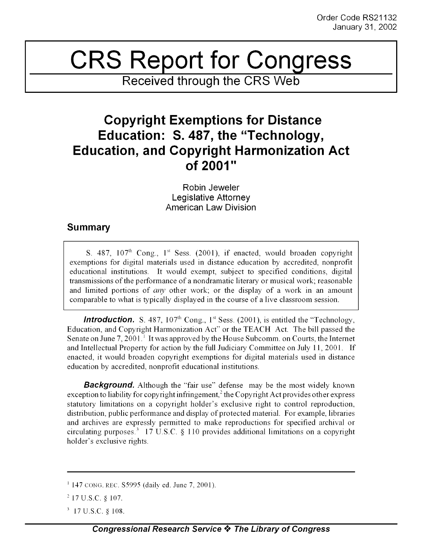## CRS Report for **Congress**

**Received through the CRS Web**

## **Copyright Exemptions for Distance Education: S. 487, the "Technology, Education, and Copyright Harmonization Act of 2001"**

Robin Jeweler Legislative Attorney American Law Division

## **Summary**

S. 487,  $107<sup>th</sup>$  Cong.,  $1<sup>st</sup>$  Sess. (2001), if enacted, would broaden copyright exemptions for digital materials used in distance education by accredited, nonprofit educational institutions. It would exempt, subject to specified conditions, digital transmissions of the performance of a nondramatic literary or musical work; reasonable and limited portions of *any* other work; or the display of a work in an amount comparable to what is typically displayed in the course of a live classroom session.

**Introduction.** S. 487,  $107<sup>th</sup>$  Cong.,  $1<sup>st</sup>$  Sess. (2001), is entitled the "Technology, Education, and Copyright Harmonization Act" or the TEACH Act. The bill passed the Senate on June 7, 2001.' It was approved by the House Subcomm. on Courts, the Internet and Intellectual Property for action by the full Judiciary Committee on July 11, 2001. If enacted, it would broaden copyright exemptions for digital materials used in distance education by accredited, nonprofit educational institutions.

**Background.** Although the "fair use" defense may be the most widely known exception to liability for copyright infringement,<sup>2</sup> the Copyright Act provides other express statutory limitations on a copyright holder's exclusive right to control reproduction, distribution, public performance and display of protected material. For example, libraries and archives are expressly permitted to make reproductions for specified archival or circulating purposes.<sup>3</sup> 17 U.S.C. § 110 provides additional limitations on a copyright holder's exclusive rights.

 $1147$  CONG. REC. S5995 (daily ed. June 7, 2001).

<sup>&</sup>lt;sup>2</sup> 17 U.S.C. § 107.

<sup>317</sup> U.S.C. **§** 108.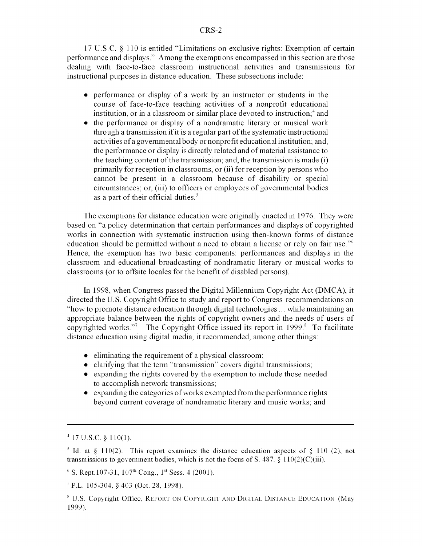**17 U.S.C.** § 110 is entitled "Limitations on exclusive rights: Exemption of certain performance and displays." Among the exemptions encompassed in this section are those dealing with face-to-face classroom instructional activities and transmissions for instructional purposes in distance education. These subsections include:

- performance or display of a work by an instructor or students in the course of face-to-face teaching activities of a nonprofit educational institution, or in a classroom or similar place devoted to instruction;<sup>4</sup> and
- $\bullet$  the performance or display of a nondramatic literary or musical work through a transmission if it is a regular part of the systematic instructional activities of a governmental body or nonprofit educational institution; and, the performance or display is directly related and of material assistance to the teaching content of the transmission; and, the transmission is made (i) primarily for reception in classrooms, or (ii) for reception by persons who cannot be present in a classroom because of disability or special circumstances; or, (iii) to officers or employees of governmental bodies as a part of their official duties.

The exemptions for distance education were originally enacted in 1976. They were based on "a policy determination that certain performances and displays of copyrighted works in connection with systematic instruction using then-known forms of distance education should be permitted without a need to obtain a license or rely on fair use."<sup>6</sup> Hence, the exemption has two basic components: performances and displays in the classroom and educational broadcasting of nondramatic literary or musical works to classrooms (or to offsite locales for the benefit of disabled persons).

In 1998, when Congress passed the Digital Millennium Copyright Act (DMCA), it directed the U.S. Copyright Office to study and report to Congress recommendations on "how to promote distance education through digital technologies ... while maintaining an appropriate balance between the rights of copyright owners and the needs of users of copyrighted works."<sup>7</sup> The Copyright Office issued its report in  $1999$ .<sup>8</sup> To facilitate distance education using digital media, it recommended, among other things:

- $\bullet$  eliminating the requirement of a physical classroom;
- clarifying that the term "transmission" covers digital transmissions;
- expanding the rights covered by the exemption to include those needed to accomplish network transmissions;
- $\bullet$  expanding the categories of works exempted from the performance rights beyond current coverage of nondramatic literary and music works; and

 $4$  17 U.S.C. § 110(1).

<sup>&</sup>lt;sup>5</sup> Id. at § 110(2). This report examines the distance education aspects of § 110 (2), not transmissions to government bodies, which is not the focus of S. 487. § **110(2)(C)(iii).**

 $^6$  S. Rept.107-31, 107<sup>th</sup> Cong., 1<sup>st</sup> Sess. 4 (2001).

<sup>&</sup>lt;sup>7</sup> P.L. 105-304, § 403 (Oct. 28, 1998).

<sup>&</sup>lt;sup>8</sup> U.S. Copyright Office, REPORT ON COPYRIGHT AND DIGITAL DISTANCE EDUCATION (May 1999).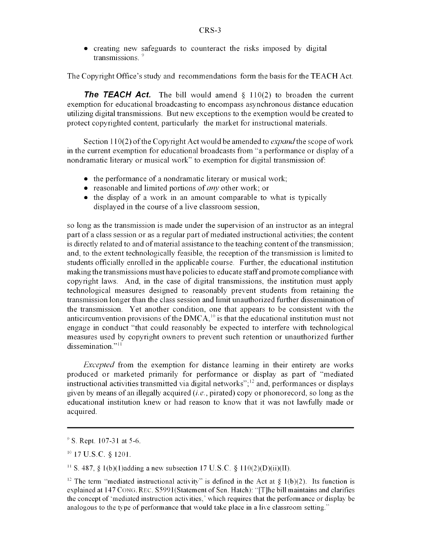creating new safeguards to counteract the risks imposed by digital transmissions. **<sup>9</sup>**

The Copyright Office's study and recommendations form the basis for the TEACH Act.

**The TEACH Act.** The bill would amend § 110(2) to broaden the current exemption for educational broadcasting to encompass asynchronous distance education utilizing digital transmissions. But new exceptions to the exemption would be created to protect copyrighted content, particularly the market for instructional materials.

Section 110(2) of the Copyright Act would be amended to *expand the* scope of work in the current exemption for educational broadcasts from "a performance or display of a nondramatic literary or musical work" to exemption for digital transmission of:

- $\bullet$  the performance of a nondramatic literary or musical work;
- reasonable and limited portions of *any* other work; or
- the display of a work in an amount comparable to what is typically displayed in the course of a live classroom session,

so long as the transmission is made under the supervision of an instructor as an integral part of a class session or as a regular part of mediated instructional activities; the content is directly related to and of material assistance to the teaching content of the transmission; and, to the extent technologically feasible, the reception of the transmission is limited to students officially enrolled in the applicable course. Further, the educational institution making the transmissions must have policies to educate staff and promote compliance with copyright laws. And, in the case of digital transmissions, the institution must apply technological measures designed to reasonably prevent students from retaining the transmission longer than the class session and limit unauthorized further dissemination of the transmission. Yet another condition, one that appears to be consistent with the anticircumvention provisions of the  $DMCA<sup>10</sup>$  is that the educational institution must not engage in conduct "that could reasonably be expected to interfere with technological measures used by copyright owners to prevent such retention or unauthorized further dissemination."<sup>11</sup>

*Excepted* from the exemption for distance learning in their entirety are works produced or marketed primarily for performance or display as part of "mediated instructional activities transmitted via digital networks"; $^{12}$  and, performances or displays given by means of an illegally acquired *(i.e.,* pirated) copy or phonorecord, so long as the educational institution knew or had reason to know that it was not lawfully made or acquired.

10 17 U.S.C. § 1201.

<sup>11</sup> S. 487, § 1(b)(1)adding a new subsection 17 U.S.C. § 110(2)(D)(ii)(II).

 $\degree$  S. Rept. 107-31 at 5-6.

<sup>&</sup>lt;sup>12</sup> The term "mediated instructional activity" is defined in the Act at  $\S$  1(b)(2). Its function is explained at 147 CONG. REC. S5991(Statement of Sen. Hatch): "[T]he bill maintains and clarifies the concept of 'mediated instruction activities,' which requires that the performance or display be analogous to the type of performance that would take place in a live classroom setting."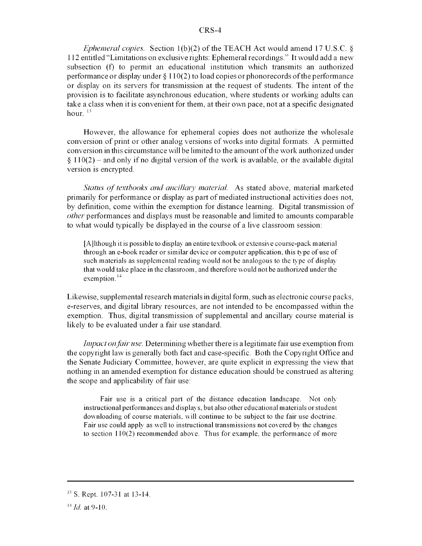## CRS-4

*Ephemeral copies.* Section 1(b)(2) of the TEACH Act would amend 17 U.S.C. § 112 entitled "Limitations on exclusive rights: Ephemeral recordings." It would add a new subsection (f) to permit an educational institution which transmits an authorized performance or display under § 110(2) to load copies or phonorecords of the performance or display on its servers for transmission at the request of students. The intent of the provision is to facilitate asynchronous education, where students or working adults can take a class when it is convenient for them, at their own pace, not at a specific designated hour $13$ 

However, the allowance for ephemeral copies does not authorize the wholesale conversion of print or other analog versions of works into digital formats. A permitted conversion in this circumstance will be limited to the amount of the work authorized under  $§$  110(2) – and only if no digital version of the work is available, or the available digital version is encrypted.

*Status of textbooks and ancillary material.* As stated above, material marketed primarily for performance or display as part of mediated instructional activities does not, by definition, come within the exemption for distance learning. Digital transmission of *other* performances and displays must be reasonable and limited to amounts comparable to what would typically be displayed in the course of a live classroom session:

[A]lthough it is possible to display an entire textbook or extensive course-pack material through an e-book reader or similar device or computer application, this type of use of such materials as supplemental reading would not be analogous to the type of display that would take place in the classroom, and therefore would not be authorized under the exemption.<sup>14</sup>

Likewise, supplemental research materials in digital form, such as electronic course packs, e-reserves, and digital library resources, are not intended to be encompassed within the exemption. Thus, digital transmission of supplemental and ancillary course material is likely to be evaluated under a fair use standard.

*Impact on fair use.* Determining whether there is a legitimate fair use exemption from the copyright law is generally both fact and case-specific. Both the Copyright Office and the Senate Judiciary Committee, however, are quite explicit in expressing the view that nothing in an amended exemption for distance education should be construed as altering the scope and applicability of fair use:

Fair use is a critical part of the distance education landscape. Not only instructional performances and displays, but also other educational materials or student downloading of course materials, will continue to be subject to the fair use doctrine. Fair use could apply as well to instructional transmissions not covered by the changes to section 110(2) recommended above. Thus for example, the performance of more

 $^{13}$  S. Rept. 107-31 at 13-14.

<sup>14</sup> *Id.* at 9-10.